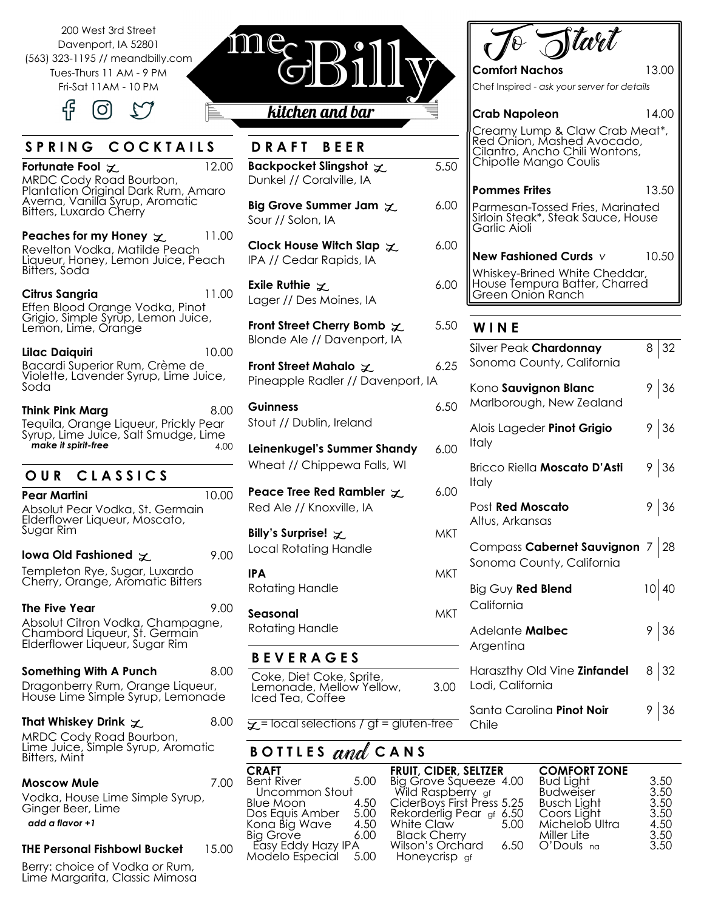200 West 3rd Street Davenport, IA 52801 (563) 323-1195 // meandbilly.com Tues-Thurs 11 AM - 9 PM Fri-Sat 11AM - 10 PM



# S P R I N G C O C K T A I L S

**Fortunate Fool** L **L**2.00 MRDC Cody Road Bourbon, Plantation Original Dark Rum, Amaro Averna, Vanilla Syrup, Aromatic Bitters, Luxardo Cherry

**Peaches for my Honey**  $\chi$  **11.00** Revelton Vodka, Matilde Peach Liqueur, Honey, Lemon Juice, Peach Bitters, Soda

**Citrus Sangria** 11.00 Effen Blood Orange Vodka, Pinot Grigio, Simple Syrup, Lemon Juice, Lemon, Lime, Orange

**Lilac Daiquiri** 10.00 Bacardi Superior Rum, Crème de Violette, Lavender Syrup, Lime Juice, Soda

**Think Pink Marg** 8.00 Tequila, Orange Liqueur, Prickly Pear Syrup, Lime Juice, Salt Smudge, Lime **make it spirit-free** 4.00

# **O U R C L A S S I C S**

**Pear Martini** 10.00 Absolut Pear Vodka, St. Germain Elderflower Liqueur, Moscato, Sugar Rim

**Iowa Old Fashioned**  $\chi$  9.00 Templeton Rye, Sugar, Luxardo

Cherry, Orange, Aromatic Bitters

**The Five Year** 9.00 Absolut Citron Vodka, Champagne, Chambord Liqueur, St. Germain Elderflower Liqueur, Sugar Rim

**Something With A Punch** 8.00 Dragonberry Rum, Orange Liqueur, House Lime Simple Syrup, Lemonade

#### **That Whiskey Drink**  $\chi$  8.00

MRDC Cody Road Bourbon, Lime Juice, Simple Syrup, Aromatic Bitters, Mint

#### **Moscow Mule** 7.00

Vodka, House Lime Simple Syrup, Ginger Beer, Lime *add a flavor +1*

**THE Personal Fishbowl Bucket** 15.00

Berry: choice of Vodka *or* Rum, Lime Margarita, Classic Mimosa



# kitchen and bar

**D R A FT B E E R** 

- **Backpocket Slingshot**  $\chi$  **5.5** Dunkel // Coralville, IA
- **Big Grove Summer Jam**  $\chi$  **6.0** Sour // Solon, IA
- **Clock House Witch Slap**  $\chi$  **6.0** IPA // Cedar Rapids, IA
- **Exile Ruthie**  $\chi$  6.0 Lager // Des Moines, IA
- **Front Street Cherry Bomb**  $\chi$  5.5 Blonde Ale // Davenport, IA
- **Front Street Mahalo**  $\chi$  6.25 Pineapple Radler // Davenport, IA

**Guinness** 6.5 Stout // Dublin, Ireland

**Leinenkugel's Summer Shandy** 6.0 Wheat // Chippewa Falls, WI

- **Peace Tree Red Rambler**  $\times$  **6.0** Red Ale // Knoxville, IA
- **Billy's Surprise!**  $Z$  MK Local Rotating Handle **IPA** MKT Rotating Handle **Seasonal** MK Rotating Handle

**B E V E R A G E S** 

#### Coke, Diet Coke, Sprite, Lemonade, Mellow Yellow, Iced Tea, Coffee

 $\chi$  = local selections / gf = gluten-free

3.0

# B O T T L E S and C A N S

| <b>CRAFT</b>       |      |
|--------------------|------|
| <b>Bent River</b>  | 5.00 |
| Uncommon Stout     |      |
| Blue Moon          | 4.50 |
| Dos Equis Amber    | 5.00 |
| Kona Big Wave      | 4.50 |
| <b>Big Grove</b>   | 6.00 |
| Easy Eddy Hazy IPA |      |
| Modelo Especial    | 5.00 |

|        | $\int$ tart                                                                                                                                     |                |
|--------|-------------------------------------------------------------------------------------------------------------------------------------------------|----------------|
|        | Comfort Nachos<br>Chef Inspired - ask your server for details                                                                                   | 13.00          |
| 0      | <b>Crab Napoleon</b><br>Creamy Lump & Claw Crab Meat*,<br>Red Onion, Mashed Avocado,<br>Cilantro, Ancho Chili Wontons,<br>Chipotle Mango Coulis | 14.00          |
| 0      | <b>Pommes Frites</b><br>Parmesan-Tossed Fries, Marinated<br>Sirloin Steak*, Steak Sauce, House<br>Garlic Aioli                                  | 13.50          |
| 0<br>0 | New Fashioned Curds v<br>Whiskey-Brined White Cheddar,<br>House Tempura Batter, Charred                                                         | 10.50          |
| 0      | Green Onion Ranch<br>WINE                                                                                                                       |                |
| 5      | Silver Peak Chardonnay<br>Sonoma County, California                                                                                             | 8 32           |
| 0      | Kono Sauvignon Blanc<br>Marlborough, New Zealand                                                                                                | 9 36           |
| 0      | Alois Lageder Pinot Grigio<br>Italy                                                                                                             | $9 \,   \, 36$ |
| 0      | Bricco Riella <b>Moscato D'Asti</b><br>Italy                                                                                                    | 9 36           |
| T)     | Post <b>Red Moscato</b><br>Altus, Arkansas                                                                                                      | 9 36           |
| T)     | Compass Cabernet Sauvignon 7 28<br>Sonoma County, California                                                                                    |                |
| ์:T    | Big Guy Red Blend<br>California                                                                                                                 | $10 \mid 40$   |
|        | Adelante <b>Malbec</b><br>Argentina                                                                                                             | 9 36           |
| O      | Haraszthy Old Vine Zinfandel<br>Lodi, California                                                                                                | 8 32           |
|        | Santa Carolina Pinot Noir<br>Chile                                                                                                              | 9 36           |

| <b>FRUIT, CIDER, SELTZER</b> | <b>COMFORT ZONE</b>                                                                                                                                                    |                                                                         |
|------------------------------|------------------------------------------------------------------------------------------------------------------------------------------------------------------------|-------------------------------------------------------------------------|
|                              |                                                                                                                                                                        | 3.50                                                                    |
| Wild Raspberry gf            | Budweiser                                                                                                                                                              | 3.50                                                                    |
|                              |                                                                                                                                                                        | 3.50                                                                    |
|                              |                                                                                                                                                                        | 3.50                                                                    |
| 5.00                         |                                                                                                                                                                        | 4.50                                                                    |
|                              | Miller Lite                                                                                                                                                            | 3.50                                                                    |
| 6.50                         |                                                                                                                                                                        | 3.50                                                                    |
|                              |                                                                                                                                                                        |                                                                         |
|                              | Big Grove Squeeze 4.00<br>CiderBoys First Press 5.25<br>Rekorderlig Pear gf 6.50<br>White Claw<br>Black Cherry<br>Easy Eddy Hazy IPA Milson's Orchard<br>Honeycrisp gf | Bud Light<br>Busch Light<br>Coors Light<br>Michelob Ultra<br>O'Douls na |